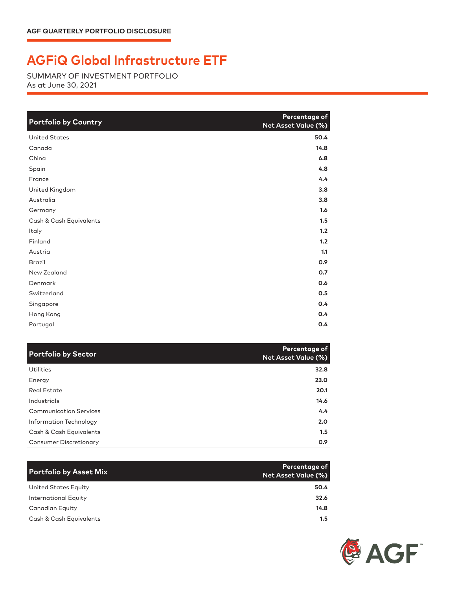## **AGFiQ Global Infrastructure ETF**

SUMMARY OF INVESTMENT PORTFOLIO As at June 30, 2021

| <b>Portfolio by Country</b> | Percentage of<br>Net Asset Value (%) |
|-----------------------------|--------------------------------------|
| <b>United States</b>        | 50.4                                 |
| Canada                      | 14.8                                 |
| China                       | 6.8                                  |
| Spain                       | 4.8                                  |
| France                      | 4.4                                  |
| United Kingdom              | 3.8                                  |
| Australia                   | 3.8                                  |
| Germany                     | 1.6                                  |
| Cash & Cash Equivalents     | 1.5                                  |
| Italy                       | 1.2                                  |
| Finland                     | 1.2                                  |
| Austria                     | 1.1                                  |
| <b>Brazil</b>               | 0.9                                  |
| New Zealand                 | 0.7                                  |
| Denmark                     | 0.6                                  |
| Switzerland                 | 0.5                                  |
| Singapore                   | 0.4                                  |
| Hong Kong                   | 0.4                                  |
| Portugal                    | 0.4                                  |

| <b>Portfolio by Sector</b>    | Percentage of<br><b>Net Asset Value (%)</b> |
|-------------------------------|---------------------------------------------|
| <b>Utilities</b>              | 32.8                                        |
| Energy                        | 23.0                                        |
| Real Estate                   | 20.1                                        |
| Industrials                   | 14.6                                        |
| <b>Communication Services</b> | $4.4^{\circ}$                               |
| Information Technology        | 2.0                                         |
| Cash & Cash Equivalents       | 1.5                                         |
| <b>Consumer Discretionary</b> | 0.9                                         |

| <b>Portfolio by Asset Mix</b> | Percentage of<br><b>Net Asset Value (%)</b> |
|-------------------------------|---------------------------------------------|
| United States Equity          | 50.4                                        |
| <b>International Equity</b>   | 32.6                                        |
| Canadian Equity               | 14.8                                        |
| Cash & Cash Equivalents       | 1.5                                         |